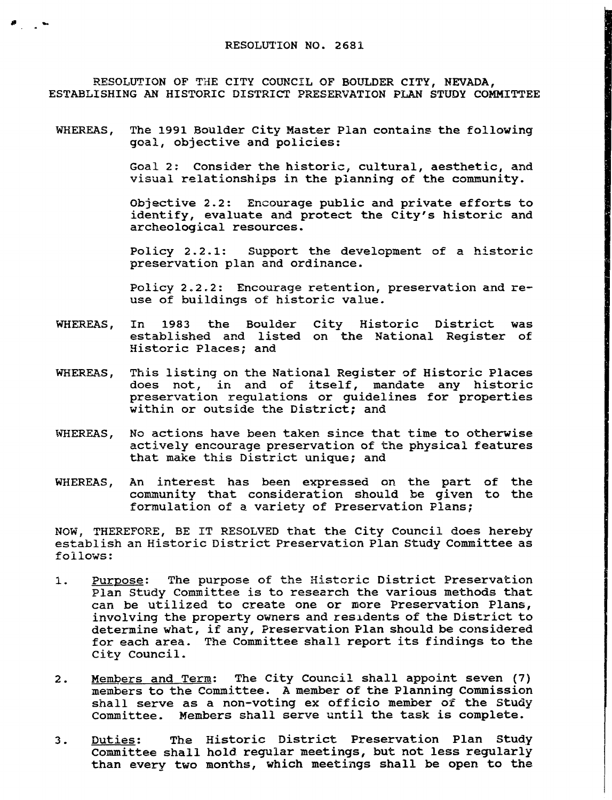$\mathcal{F}$  , where  $\mathcal{F}$ 

RESOLUTION OF THE CITY COUNCIL OF BOULDER CITY, NEVADA, ESTABLISHING AN HISTORIC DISTRICT PRESERVATION PLAN STUDY COMMITTEE

WHEREAS, The <sup>1991</sup> Boulder City Master Plan contains the following goal, objective and policies:

> Goal 2: Consider the historic, cultural, aesthetic, and visual relationships in the planning of the community.

> Objective 2.2: Encourage public and private efforts to identify, evaluate and protect the City's historic and identify, evaluate and protect the City's historic and archeological resources.

> Policy  $2.2.1$ : Support the development of a historic preservation plan and ordinance.

> Policy 2.2.2: Encourage retention, preservation and reuse of buildings of historic value.

- WHEREAS, In <sup>1983</sup> the Boulder City Historic District was established and listed on the National Register of Historic Places; and
- This listing on the National Register of Historic Places WHEREAS, does not, in and of itself, mandate any historic preservation regulations or guidelines for properties within or outside the District; and
- No actions have been taken since that time to otherwise WHEREAS. actively encourage preservation of the physical features that make this District unique; and
- WHEREAS, An interest has been expressed on the part of the community that consideration should be given to the formulation of <sup>a</sup> variety of Preservation Plans;

NOW, THEREFORE, BE IT RESOLVED that the City Council does hereby establish an Historic District Preservation Plan Study Committee as follows:

- $1.$ Purpose: The purpose of the Histcric District Preservation Plan Study Committee is to research the various methods that can be utilized to create one or more Preservation Plans, involving the property owners and residents of the District to determine what, if any, Preservation Plan should be considered for each area. The Committee shall report its findings to the City Council.
- Members and Term: The City Council shall appoint seven (7)  $2.$ members to the Committee. <sup>A</sup> member of the Planning Commission shall serve as <sup>a</sup> non-voting ex officio member of the Study Committee. Members shall serve until the task is complete.
- Duties: The Historic District Preservation Plan Study  $3.$ Committee shall hold regular meetings, but not less regularly than every two months, which meetings shall be open to the